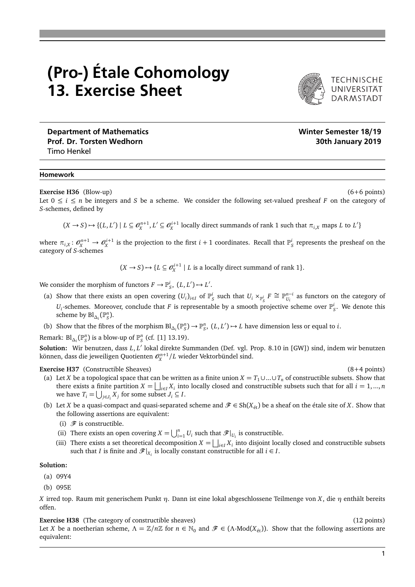# (Pro-) Étale Cohomology 13. Exercise Sheet



Department of Mathematics Number of Mathematics Number of Mathematics Number of Mathematics Number of Mathematics Prof. Dr. Torsten Wedhorn 30th January 2019 Timo Henkel

#### Homework

**Exercise H36** (Blow-up) (6+6 points)

Let  $0 \le i \le n$  be integers and *S* be a scheme. We consider the following set-valued presheaf *F* on the category of *S*-schemes, defined by

 $(X \to S) \mapsto \{(L, L') \mid L \subseteq \mathcal{O}_X^{n+1}, L' \subseteq \mathcal{O}_X^{i+1} \text{ locally direct summands of rank 1 such that } \pi_{i,X} \text{ maps } L \text{ to } L'\}$ 

where  $\pi_{i,X} \colon \mathcal{O}_X^{n+1} \to \mathcal{O}_X^{i+1}$  is the projection to the first  $i+1$  coordinates. Recall that  $\mathbb{P}_S^i$  represents the presheaf on the category of *S*-schemes

 $(X \to S) \mapsto \{L \subseteq \mathcal{O}_X^{i+1} \mid L \text{ is a locally direct summand of rank 1}\}.$ 

We consider the morphism of functors  $F \to \mathbb{P}^i_S$ ,  $(L, L') \mapsto L'$ .

- (a) Show that there exists an open covering  $(U_i)_{i \in I}$  of  $\mathbb{P}_S^i$  such that  $U_i \times_{\mathbb{P}_S^i} F \cong \mathbb{P}_{U_i}^{n-i}$  $\frac{n-1}{U_i}$  as functors on the category of  $U_i$ -schemes. Moreover, conclude that *F* is representable by a smooth projective scheme over  $\mathbb{P}_S^i$ . We denote this scheme by  $\text{Bl}_{\Delta_i}(\mathbb{P}^n_S)$ .
- (b) Show that the fibres of the morphism  $\text{Bl}_{\Delta_i}(\mathbb{P}^n_S) \to \mathbb{P}^n_S$ ,  $(L, L') \to L$  have dimension less or equal to *i*.

Remark:  $\text{Bl}_{\Delta_i}(\mathbb{P}^n_S)$  is a blow-up of  $\mathbb{P}^n_S$  (cf. [1] 13.19).

**Solution:** Wir benutzen, dass *L*, *L'* lokal direkte Summanden (Def. vgl. Prop. 8.10 in [GW]) sind, indem wir benutzen können, dass die jeweiligen Quotienten  $\mathscr O^{n+1}_X/L$  wieder Vektorbündel sind.

## **Exercise H37** (Constructible Sheaves) (8+4 points)

(a) Let *X* be a topological space that can be written as a finite union  $X = T_1 \cup ... \cup T_n$  of constructible subsets. Show that there exists a finite partition  $X = \bigsqcup_{i \in I} X_i$  into locally closed and constructible subsets such that for all  $i = 1, ..., n$ we have  $T_i = \bigcup_{j \in J_i} X_j$  for some subset  $J_i \subseteq I$ .

- (b) Let *X* be a quasi-compact and quasi-separated scheme and  $\mathcal{F} \in Sh(X_{\text{\'et}})$  be a sheaf on the étale site of *X*. Show that the following assertions are equivalent:
	- (i)  $\mathscr F$  is constructible.
	- (ii) There exists an open covering  $X = \bigcup_{i=1}^{n} U_i$  such that  $\mathscr{F}|_{U_i}$  is constructible.
	- (iii) There exists a set theoretical decomposition  $X = \bigsqcup_{i \in I} X_i$  into disjoint locally closed and constructible subsets such that *I* is finite and  $\mathscr{F}|_{X_i}$  is locally constant constructible for all  $i \in I$ .

### **Solution:**

- (a) 09Y4
- (b) 095E

*X* irred top. Raum mit generischem Punkt *η*. Dann ist eine lokal abgeschlossene Teilmenge von *X*, die *η* enthält bereits offen.

#### **Exercise H38** (The category of constructible sheaves) (12 points) (12 points)

Let *X* be a noetherian scheme,  $\Lambda = \mathbb{Z}/n\mathbb{Z}$  for  $n \in \mathbb{N}_0$  and  $\mathscr{F} \in (\Lambda\text{-Mod}(X_{\text{\'et}}))$ . Show that the following assertions are equivalent: